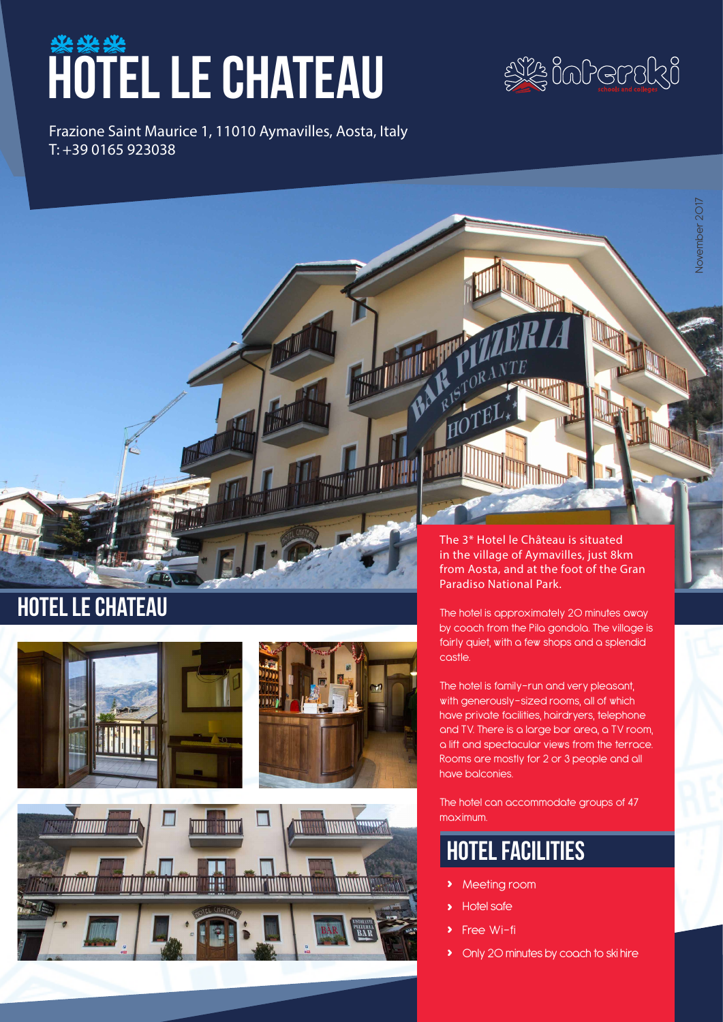# *\*\*\**<br>HOTEL LE CHATEAU



November 2017

Jovember 2011

Frazione Saint Maurice 1, 11010 Aymavilles, Aosta, Italy T: +39 0165 923038

## hotel le chateau



The 3\* Hotel le Château is situated in the village of Aymavilles, just 8km from Aosta, and at the foot of the Gran Paradiso National Park.

The hotel is approximately 20 minutes away by coach from the Pila gondola. The village is fairly quiet, with a few shops and a splendid castle.

The hotel is family-run and very pleasant, with generously-sized rooms, all of which have private facilities, hairdryers, telephone and TV. There is a large bar area, a TV room, a lift and spectacular views from the terrace. Rooms are mostly for 2 or 3 people and all have balconies.

The hotel can accommodate groups of 47 maximum.

### hotel facilities

- **›** Meeting room
- **›** Hotel safe
- **Free Wi-fi**
- **›** Only 20 minutes by coach to ski hire